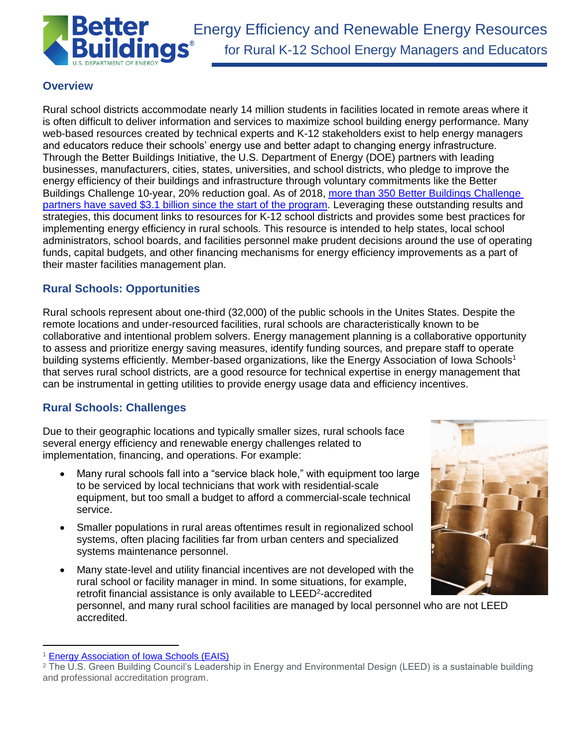

# **Overview**

Rural school districts accommodate nearly 14 million students in facilities located in remote areas where it is often difficult to deliver information and services to maximize school building energy performance. Many web-based resources created by technical experts and K-12 stakeholders exist to help energy managers and educators reduce their schools' energy use and better adapt to changing energy infrastructure. Through the Better Buildings Initiative, the U.S. Department of Energy (DOE) partners with leading businesses, manufacturers, cities, states, universities, and school districts, who pledge to improve the energy efficiency of their buildings and infrastructure through voluntary commitments like the Better Buildings Challenge 10-year, 20% reduction goal. As of 2018, [more than 350 Better Buildings Challenge](https://betterbuildingssolutioncenter.energy.gov/sites/default/files/attachments/DOE_BBI_2018_Progress_Report_051018.pdf)  [partners have saved \\$3.1 billion since the start of the program.](https://betterbuildingssolutioncenter.energy.gov/sites/default/files/attachments/DOE_BBI_2018_Progress_Report_051018.pdf) Leveraging these outstanding results and strategies, this document links to resources for K-12 school districts and provides some best practices for implementing energy efficiency in rural schools. This resource is intended to help states, local school administrators, school boards, and facilities personnel make prudent decisions around the use of operating funds, capital budgets, and other financing mechanisms for energy efficiency improvements as a part of their master facilities management plan.

# **Rural Schools: Opportunities**

Rural schools represent about one-third (32,000) of the public schools in the Unites States. Despite the remote locations and under-resourced facilities, rural schools are characteristically known to be collaborative and intentional problem solvers. Energy management planning is a collaborative opportunity to assess and prioritize energy saving measures, identify funding sources, and prepare staff to operate building systems efficiently. Member-based organizations, like the Energy Association of Iowa Schools<sup>1</sup> that serves rural school districts, are a good resource for technical expertise in energy management that can be instrumental in getting utilities to provide energy usage data and efficiency incentives.

# **Rural Schools: Challenges**

Due to their geographic locations and typically smaller sizes, rural schools face several energy efficiency and renewable energy challenges related to implementation, financing, and operations. For example:

- Many rural schools fall into a "service black hole," with equipment too large to be serviced by local technicians that work with residential-scale equipment, but too small a budget to afford a commercial-scale technical service.
- Smaller populations in rural areas oftentimes result in regionalized school systems, often placing facilities far from urban centers and specialized systems maintenance personnel.
- Many state-level and utility financial incentives are not developed with the rural school or facility manager in mind. In some situations, for example, retrofit financial assistance is only available to LEED<sup>2</sup>-accredited personnel, and many rural school facilities are managed by local personnel who are not LEED accredited.

 $\overline{a}$ 



<sup>1</sup> [Energy Association of Iowa Schools \(EAIS\)](https://energyais.org/)

<sup>&</sup>lt;sup>2</sup> The U.S. Green Building Council's Leadership in Energy and Environmental Design (LEED) is a sustainable building and professional accreditation program.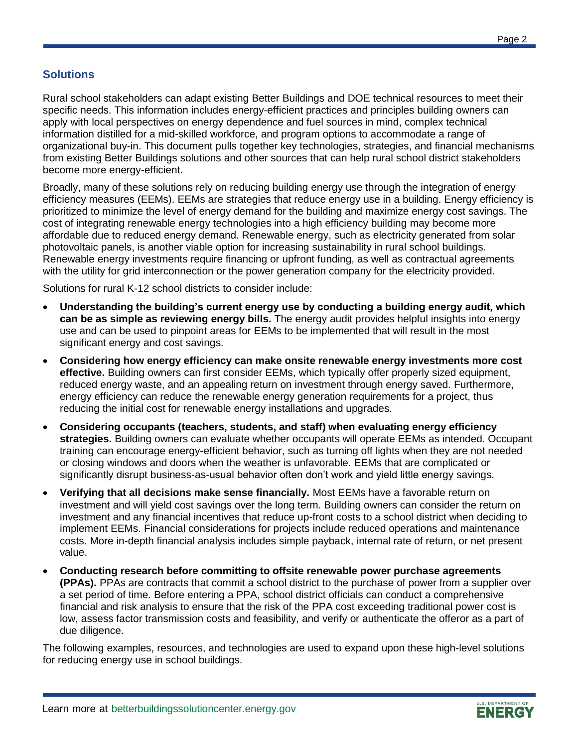# **Solutions**

Rural school stakeholders can adapt existing Better Buildings and DOE technical resources to meet their specific needs. This information includes energy-efficient practices and principles building owners can apply with local perspectives on energy dependence and fuel sources in mind, complex technical information distilled for a mid-skilled workforce, and program options to accommodate a range of organizational buy-in. This document pulls together key technologies, strategies, and financial mechanisms from existing Better Buildings solutions and other sources that can help rural school district stakeholders become more energy-efficient.

Broadly, many of these solutions rely on reducing building energy use through the integration of energy efficiency measures (EEMs). EEMs are strategies that reduce energy use in a building. Energy efficiency is prioritized to minimize the level of energy demand for the building and maximize energy cost savings. The cost of integrating renewable energy technologies into a high efficiency building may become more affordable due to reduced energy demand. Renewable energy, such as electricity generated from solar photovoltaic panels, is another viable option for increasing sustainability in rural school buildings. Renewable energy investments require financing or upfront funding, as well as contractual agreements with the utility for grid interconnection or the power generation company for the electricity provided.

Solutions for rural K-12 school districts to consider include:

- **Understanding the building's current energy use by conducting a building energy audit, which can be as simple as reviewing energy bills.** The energy audit provides helpful insights into energy use and can be used to pinpoint areas for EEMs to be implemented that will result in the most significant energy and cost savings.
- **Considering how energy efficiency can make onsite renewable energy investments more cost effective.** Building owners can first consider EEMs, which typically offer properly sized equipment, reduced energy waste, and an appealing return on investment through energy saved. Furthermore, energy efficiency can reduce the renewable energy generation requirements for a project, thus reducing the initial cost for renewable energy installations and upgrades.
- **Considering occupants (teachers, students, and staff) when evaluating energy efficiency strategies.** Building owners can evaluate whether occupants will operate EEMs as intended. Occupant training can encourage energy-efficient behavior, such as turning off lights when they are not needed or closing windows and doors when the weather is unfavorable. EEMs that are complicated or significantly disrupt business-as-usual behavior often don't work and yield little energy savings.
- **Verifying that all decisions make sense financially.** Most EEMs have a favorable return on investment and will yield cost savings over the long term. Building owners can consider the return on investment and any financial incentives that reduce up-front costs to a school district when deciding to implement EEMs. Financial considerations for projects include reduced operations and maintenance costs. More in-depth financial analysis includes simple payback, internal rate of return, or net present value.
- **Conducting research before committing to offsite renewable power purchase agreements (PPAs).** PPAs are contracts that commit a school district to the purchase of power from a supplier over a set period of time. Before entering a PPA, school district officials can conduct a comprehensive financial and risk analysis to ensure that the risk of the PPA cost exceeding traditional power cost is low, assess factor transmission costs and feasibility, and verify or authenticate the offeror as a part of due diligence.

The following examples, resources, and technologies are used to expand upon these high-level solutions for reducing energy use in school buildings.

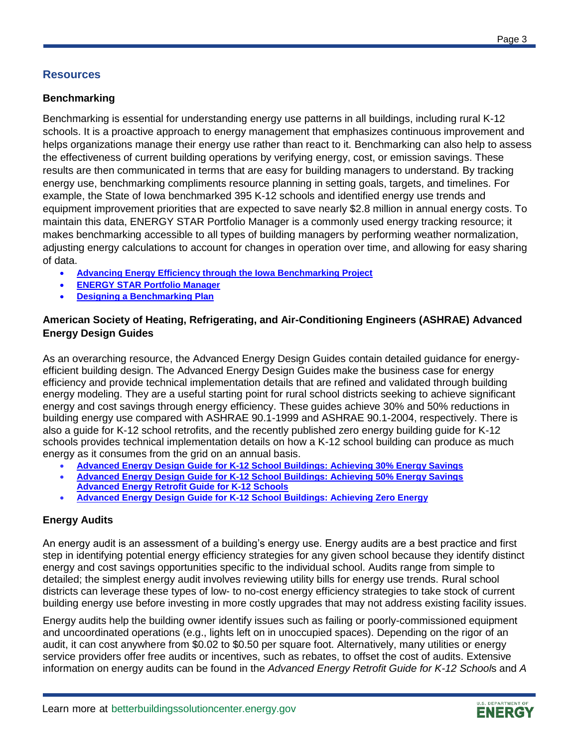## **Resources**

### **Benchmarking**

Benchmarking is essential for understanding energy use patterns in all buildings, including rural K-12 schools. It is a proactive approach to energy management that emphasizes continuous improvement and helps organizations manage their energy use rather than react to it. Benchmarking can also help to assess the effectiveness of current building operations by verifying energy, cost, or emission savings. These results are then communicated in terms that are easy for building managers to understand. By tracking energy use, benchmarking compliments resource planning in setting goals, targets, and timelines. For example, the State of Iowa benchmarked 395 K-12 schools and identified energy use trends and equipment improvement priorities that are expected to save nearly \$2.8 million in annual energy costs. To maintain this data, ENERGY STAR Portfolio Manager is a commonly used energy tracking resource; it makes benchmarking accessible to all types of building managers by performing weather normalization, adjusting energy calculations to account for changes in operation over time, and allowing for easy sharing of data.

- **[Advancing Energy Efficiency through the Iowa Benchmarking Project](https://www.energy.gov/sites/prod/files/2017/04/f34/WIP-Iowa-Implementation-Model.pdf)**
- **[ENERGY STAR Portfolio Manager](https://www.energystar.gov/buildings/facility-owners-and-managers/existing-buildings/use-portfolio-manager)**
- **[Designing a Benchmarking Plan](https://www.energy.gov/sites/prod/files/2017/09/f36/tap_designing_a_benchmarking_plan.pdf)**

## **American Society of Heating, Refrigerating, and Air-Conditioning Engineers (ASHRAE) Advanced Energy Design Guides**

As an overarching resource, the Advanced Energy Design Guides contain detailed guidance for energyefficient building design. The Advanced Energy Design Guides make the business case for energy efficiency and provide technical implementation details that are refined and validated through building energy modeling. They are a useful starting point for rural school districts seeking to achieve significant energy and cost savings through energy efficiency. These guides achieve 30% and 50% reductions in building energy use compared with ASHRAE 90.1-1999 and ASHRAE 90.1-2004, respectively. There is also a guide for K-12 school retrofits, and the recently published zero energy building guide for K-12 schools provides technical implementation details on how a K-12 school building can produce as much energy as it consumes from the grid on an annual basis.

- **[Advanced Energy Design Guide for K-12 School Buildings: Achieving 30% Energy Savings](https://www.ashrae.org/technical-resources/aedgs/30-percent-aedg-free-download)**
- **[Advanced Energy Design Guide for K-12 School Buildings: Achieving 50% Energy Savings](https://buildingdata.energy.gov/cbrd/resource/1100) [Advanced Energy Retrofit Guide for K-12 Schools](https://buildingdata.energy.gov/cbrd/resource/17)**
- **[Advanced Energy Design Guide for K-12 School Buildings: Achieving Zero Energy](https://buildingdata.energy.gov/cbrd/resource/2584)**

### **Energy Audits**

An energy audit is an assessment of a building's energy use. Energy audits are a best practice and first step in identifying potential energy efficiency strategies for any given school because they identify distinct energy and cost savings opportunities specific to the individual school. Audits range from simple to detailed; the simplest energy audit involves reviewing utility bills for energy use trends. Rural school districts can leverage these types of low- to no-cost energy efficiency strategies to take stock of current building energy use before investing in more costly upgrades that may not address existing facility issues.

Energy audits help the building owner identify issues such as failing or poorly-commissioned equipment and uncoordinated operations (e.g., lights left on in unoccupied spaces). Depending on the rigor of an audit, it can cost anywhere from \$0.02 to \$0.50 per square foot. Alternatively, many utilities or energy service providers offer free audits or incentives, such as rebates, to offset the cost of audits. Extensive information on energy audits can be found in the *Advanced Energy Retrofit Guide for K-12 School*s and *A* 

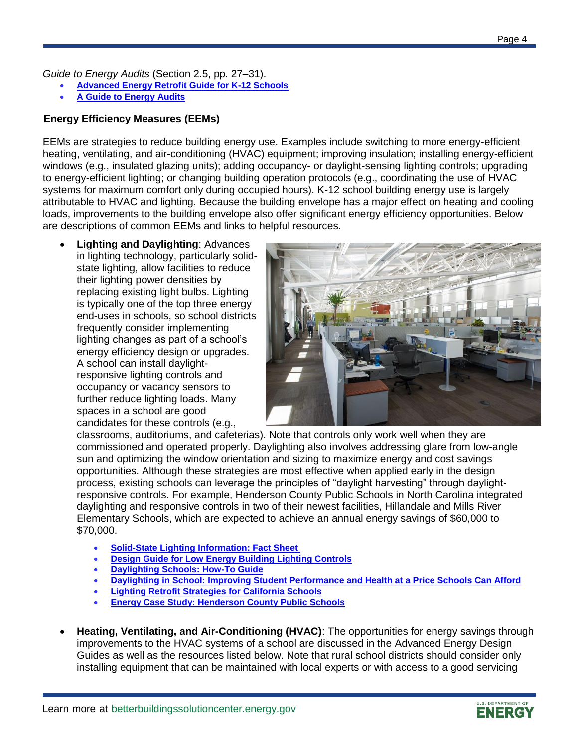*Guide to Energy Audits* (Section 2.5, pp. 27–31).

- **[Advanced Energy Retrofit Guide for K-12 Schools](https://buildingdata.energy.gov/cbrd/resource/17)**
- **[A Guide to Energy Audits](https://buildingdata.energy.gov/cbrd/resource/1034)**

## **Energy Efficiency Measures (EEMs)**

EEMs are strategies to reduce building energy use. Examples include switching to more energy-efficient heating, ventilating, and air-conditioning (HVAC) equipment; improving insulation; installing energy-efficient windows (e.g., insulated glazing units); adding occupancy- or daylight-sensing lighting controls; upgrading to energy-efficient lighting; or changing building operation protocols (e.g., coordinating the use of HVAC systems for maximum comfort only during occupied hours). K-12 school building energy use is largely attributable to HVAC and lighting. Because the building envelope has a major effect on heating and cooling loads, improvements to the building envelope also offer significant energy efficiency opportunities. Below are descriptions of common EEMs and links to helpful resources.

 **Lighting and Daylighting**: Advances in lighting technology, particularly solidstate lighting, allow facilities to reduce their lighting power densities by replacing existing light bulbs. Lighting is typically one of the top three energy end-uses in schools, so school districts frequently consider implementing lighting changes as part of a school's energy efficiency design or upgrades. A school can install daylightresponsive lighting controls and occupancy or vacancy sensors to further reduce lighting loads. Many spaces in a school are good candidates for these controls (e.g.,



classrooms, auditoriums, and cafeterias). Note that controls only work well when they are commissioned and operated properly. Daylighting also involves addressing glare from low-angle sun and optimizing the window orientation and sizing to maximize energy and cost savings opportunities. Although these strategies are most effective when applied early in the design process, existing schools can leverage the principles of "daylight harvesting" through daylightresponsive controls. For example, Henderson County Public Schools in North Carolina integrated daylighting and responsive controls in two of their newest facilities, Hillandale and Mills River Elementary Schools, which are expected to achieve an annual energy savings of \$60,000 to \$70,000.

- **[Solid-State Lighting Information:](https://buildingdata.energy.gov/cbrd/resource/911) Fact Sheet**
- **[Design Guide for Low Energy Building Lighting Controls](https://buildingdata.energy.gov/cbrd/resource/989)**
- **[Daylighting Schools: How-To Guide](https://www.lrc.rpi.edu/programs/daylighting/pdf/guidelines.pdf)**
- **[Daylighting in School: Improving Student Performance and Health at a Price Schools Can Afford](https://buildingdata.energy.gov/cbrd/resource/2016)**
- **[Lighting Retrofit Strategies for California Schools](https://cltc.ucdavis.edu/publication/lighting-retrofit-strategies-california-schools)**
- **[Energy Case Study: Henderson County Public Schools](https://moseleyarchitectsk12.files.wordpress.com/2013/05/henderson-county-schools-case-study_4-page-version.pdf)**
- **Heating, Ventilating, and Air-Conditioning (HVAC)**: The opportunities for energy savings through improvements to the HVAC systems of a school are discussed in the Advanced Energy Design Guides as well as the resources listed below. Note that rural school districts should consider only installing equipment that can be maintained with local experts or with access to a good servicing

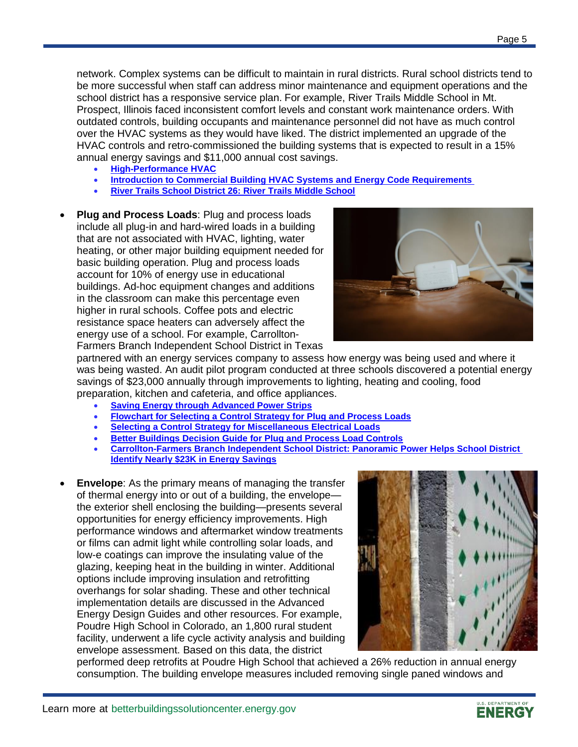network. Complex systems can be difficult to maintain in rural districts. Rural school districts tend to be more successful when staff can address minor maintenance and equipment operations and the school district has a responsive service plan. For example, River Trails Middle School in Mt. Prospect, Illinois faced inconsistent comfort levels and constant work maintenance orders. With outdated controls, building occupants and maintenance personnel did not have as much control over the HVAC systems as they would have liked. The district implemented an upgrade of the HVAC controls and retro-commissioned the building systems that is expected to result in a 15% annual energy savings and \$11,000 annual cost savings.

- **[High-Performance HVAC](https://buildingdata.energy.gov/cbrd/resource/2301)**
- **[Introduction to Commercial Building HVAC](https://buildingdata.energy.gov/cbrd/resource/2298) Systems and Energy Code Requirements**
- **[River Trails School District 26: River Trails Middle School](https://betterbuildingssolutioncenter.energy.gov/showcase-projects/river-trails-middle-school)**
- **Plug and Process Loads**: Plug and process loads include all plug-in and hard-wired loads in a building that are not associated with HVAC, lighting, water heating, or other major building equipment needed for basic building operation. Plug and process loads account for 10% of energy use in educational buildings. Ad-hoc equipment changes and additions in the classroom can make this percentage even higher in rural schools. Coffee pots and electric resistance space heaters can adversely affect the energy use of a school. For example, Carrollton-Farmers Branch Independent School District in Texas



partnered with an energy services company to assess how energy was being used and where it was being wasted. An audit pilot program conducted at three schools discovered a potential energy savings of \$23,000 annually through improvements to lighting, heating and cooling, food preparation, kitchen and cafeteria, and office appliances.

- **[Saving Energy through Advanced Power Strips](https://buildingdata.energy.gov/cbrd/resource/1553)**
- **[Flowchart for Selecting a Control Strategy for Plug and Process Loads](https://buildingdata.energy.gov/cbrd/resource/1550)**
- **[Selecting a Control Strategy for Miscellaneous Electrical Loads](https://buildingdata.energy.gov/cbrd/resource/678)**
- **[Better Buildings Decision Guide for Plug and Process Load Controls](https://betterbuildingssolutioncenter.energy.gov/sites/default/files/attachments/Decision_Guides_for_PPL_Controls.pdf)**
- **[Carrollton-Farmers Branch Independent School District: Panoramic Power Helps School District](https://business.directenergy.com/about-us/customer-testimonials/carrollton-farmers-branch-isd)  [Identify Nearly \\$23K in Energy Savings](https://business.directenergy.com/about-us/customer-testimonials/carrollton-farmers-branch-isd)**
- **Envelope**: As the primary means of managing the transfer of thermal energy into or out of a building, the envelope the exterior shell enclosing the building—presents several opportunities for energy efficiency improvements. High performance windows and aftermarket window treatments or films can admit light while controlling solar loads, and low-e coatings can improve the insulating value of the glazing, keeping heat in the building in winter. Additional options include improving insulation and retrofitting overhangs for solar shading. These and other technical implementation details are discussed in the Advanced Energy Design Guides and other resources. For example, Poudre High School in Colorado, an 1,800 rural student facility, underwent a life cycle activity analysis and building envelope assessment. Based on this data, the district



performed deep retrofits at Poudre High School that achieved a 26% reduction in annual energy consumption. The building envelope measures included removing single paned windows and

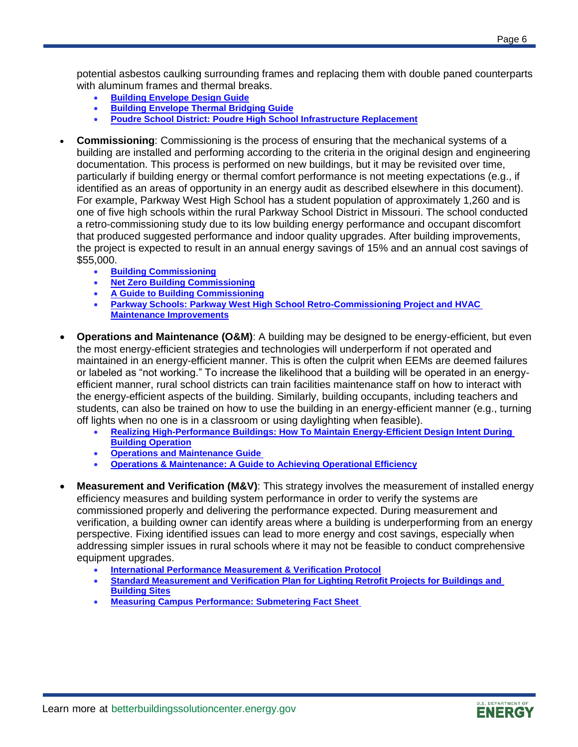potential asbestos caulking surrounding frames and replacing them with double paned counterparts with aluminum frames and thermal breaks.

- **[Building Envelope Design Guide](https://buildingdata.energy.gov/cbrd/resource/2165)**
- **[Building Envelope Thermal Bridging Guide](https://buildingdata.energy.gov/cbrd/resource/2166)**
- **[Poudre School District: Poudre High School Infrastructure Replacement](https://betterbuildingssolutioncenter.energy.gov/showcase-projects/poudre-high-school-infrastructure-replacement)**
- **Commissioning**: Commissioning is the process of ensuring that the mechanical systems of a building are installed and performing according to the criteria in the original design and engineering documentation. This process is performed on new buildings, but it may be revisited over time, particularly if building energy or thermal comfort performance is not meeting expectations (e.g., if identified as an areas of opportunity in an energy audit as described elsewhere in this document). For example, Parkway West High School has a student population of approximately 1,260 and is one of five high schools within the rural Parkway School District in Missouri. The school conducted a retro-commissioning study due to its low building energy performance and occupant discomfort that produced suggested performance and indoor quality upgrades. After building improvements, the project is expected to result in an annual energy savings of 15% and an annual cost savings of \$55,000.
	- **[Building Commissioning](https://buildingdata.energy.gov/cbrd/resource/2113)**
	- **[Net Zero Building Commissioning](https://buildingdata.energy.gov/cbrd/resource/2112)**
	- **[A Guide to Building Commissioning](https://buildingdata.energy.gov/cbrd/resource/1032)**
	- **[Parkway Schools: Parkway West High School Retro-Commissioning Project and HVAC](https://betterbuildingssolutioncenter.energy.gov/showcase-projects/parkway-west-high-school-retro-commissioning-project-and-hvac-maintenance)  [Maintenance Improvements](https://betterbuildingssolutioncenter.energy.gov/showcase-projects/parkway-west-high-school-retro-commissioning-project-and-hvac-maintenance)**
- **Operations and Maintenance (O&M)**: A building may be designed to be energy-efficient, but even the most energy-efficient strategies and technologies will underperform if not operated and maintained in an energy-efficient manner. This is often the culprit when EEMs are deemed failures or labeled as "not working." To increase the likelihood that a building will be operated in an energyefficient manner, rural school districts can train facilities maintenance staff on how to interact with the energy-efficient aspects of the building. Similarly, building occupants, including teachers and students, can also be trained on how to use the building in an energy-efficient manner (e.g., turning off lights when no one is in a classroom or using daylighting when feasible).
	- **[Realizing High-Performance Buildings: How To Maintain Energy-Efficient Design Intent During](https://buildingdata.energy.gov/cbrd/resource/1913)  [Building Operation](https://buildingdata.energy.gov/cbrd/resource/1913)**
	- **[Operations and Maintenance Guide](https://buildingdata.energy.gov/cbrd/resource/1033)**
	- **[Operations & Maintenance: A Guide to Achieving Operational Efficiency](https://buildingdata.energy.gov/cbrd/resource/879)**
- **Measurement and Verification (M&V)**: This strategy involves the measurement of installed energy efficiency measures and building system performance in order to verify the systems are commissioned properly and delivering the performance expected. During measurement and verification, a building owner can identify areas where a building is underperforming from an energy perspective. Fixing identified issues can lead to more energy and cost savings, especially when addressing simpler issues in rural schools where it may not be feasible to conduct comprehensive equipment upgrades.
	- **[International Performance Measurement & Verification Protocol](https://buildingdata.energy.gov/cbrd/resource/981)**
	- **[Standard Measurement and Verification Plan for Lighting Retrofit Projects for Buildings and](https://buildingdata.energy.gov/cbrd/resource/1084)  [Building Sites](https://buildingdata.energy.gov/cbrd/resource/1084)**
	- **[Measuring Campus Performance: Submetering Fact Sheet](https://4553qr1wvuj43kndml31ma60-wpengine.netdna-ssl.com/wp-content/uploads/2016/11/Submetering-bulletin.pdf)**

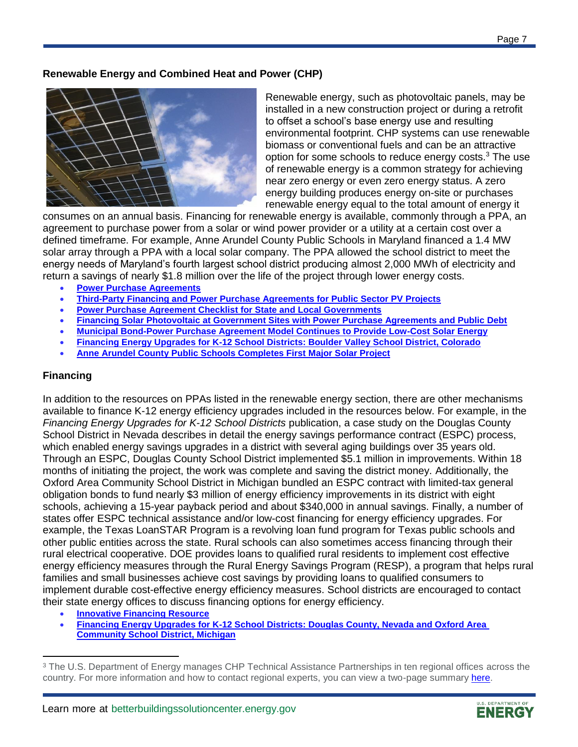## **Renewable Energy and Combined Heat and Power (CHP)**



Renewable energy, such as photovoltaic panels, may be installed in a new construction project or during a retrofit to offset a school's base energy use and resulting environmental footprint. CHP systems can use renewable biomass or conventional fuels and can be an attractive option for some schools to reduce energy costs.<sup>3</sup> The use of renewable energy is a common strategy for achieving near zero energy or even zero energy status. A zero energy building produces energy on-site or purchases renewable energy equal to the total amount of energy it

consumes on an annual basis. Financing for renewable energy is available, commonly through a PPA, an agreement to purchase power from a solar or wind power provider or a utility at a certain cost over a defined timeframe. For example, Anne Arundel County Public Schools in Maryland financed a 1.4 MW solar array through a PPA with a local solar company. The PPA allowed the school district to meet the energy needs of Maryland's fourth largest school district producing almost 2,000 MWh of electricity and return a savings of nearly \$1.8 million over the life of the project through lower energy costs.

- **[Power Purchase Agreements](https://buildingdata.energy.gov/cbrd/resource/1973)**
- **[Third-Party Financing and Power Purchase Agreements for Public Sector PV Projects](https://buildingdata.energy.gov/cbrd/resource/1506)**
- **[Power Purchase Agreement Checklist for State and Local Governments](https://buildingdata.energy.gov/cbrd/resource/1509)**
- **[Financing Solar Photovoltaic at Government Sites with Power Purchase Agreements and Public Debt](https://buildingdata.energy.gov/cbrd/resource/1510)**
- **[Municipal Bond-Power Purchase Agreement Model Continues to Provide Low-Cost Solar Energy](https://buildingdata.energy.gov/cbrd/resource/1521)**
- **[Financing Energy Upgrades for K-12 School Districts: Boulder Valley School District, Colorado](https://buildingdata.energy.gov/cbrd/resource/1507)**
- **[Anne Arundel County Public Schools Completes First Major Solar Project](https://www.standardsolar.com/AACPS-first-solar-project)**

### **Financing**

 $\overline{a}$ 

In addition to the resources on PPAs listed in the renewable energy section, there are other mechanisms available to finance K-12 energy efficiency upgrades included in the resources below. For example, in the *Financing Energy Upgrades for K-12 School Districts* publication, a case study on the Douglas County School District in Nevada describes in detail the energy savings performance contract (ESPC) process, which enabled energy savings upgrades in a district with several aging buildings over 35 years old. Through an ESPC, Douglas County School District implemented \$5.1 million in improvements. Within 18 months of initiating the project, the work was complete and saving the district money. Additionally, the Oxford Area Community School District in Michigan bundled an ESPC contract with limited-tax general obligation bonds to fund nearly \$3 million of energy efficiency improvements in its district with eight schools, achieving a 15-year payback period and about \$340,000 in annual savings. Finally, a number of states offer ESPC technical assistance and/or low-cost financing for energy efficiency upgrades. For example, the Texas LoanSTAR Program is a revolving loan fund program for Texas public schools and other public entities across the state. Rural schools can also sometimes access financing through their rural electrical cooperative. DOE provides loans to qualified rural residents to implement cost effective energy efficiency measures through the Rural Energy Savings Program (RESP), a program that helps rural families and small businesses achieve cost savings by providing loans to qualified consumers to implement durable cost-effective energy efficiency measures. School districts are encouraged to contact their state energy offices to discuss financing options for energy efficiency.

- **[Innovative Financing Resource](https://betterbuildingssolutioncenter.energy.gov/solutions-at-a-glance/innovative-financing-approach-k-12-energy-efficiency)**
- **[Financing Energy Upgrades for K-12 School Districts: Douglas County, Nevada and Oxford Area](https://www1.eere.energy.gov/wip/solutioncenter/pdfs/financing_energy_upgrades_k-12.pdf)  [Community School District, Michigan](https://www1.eere.energy.gov/wip/solutioncenter/pdfs/financing_energy_upgrades_k-12.pdf)**



<sup>&</sup>lt;sup>3</sup> The U.S. Department of Energy manages CHP Technical Assistance Partnerships in ten regional offices across the country. For more information and how to contact regional experts, you can view a two-page summary [here.](https://betterbuildingssolutioncenter.energy.gov/sites/default/files/attachments/CHP_deployment_program_fact_sheet_040318.pdf)